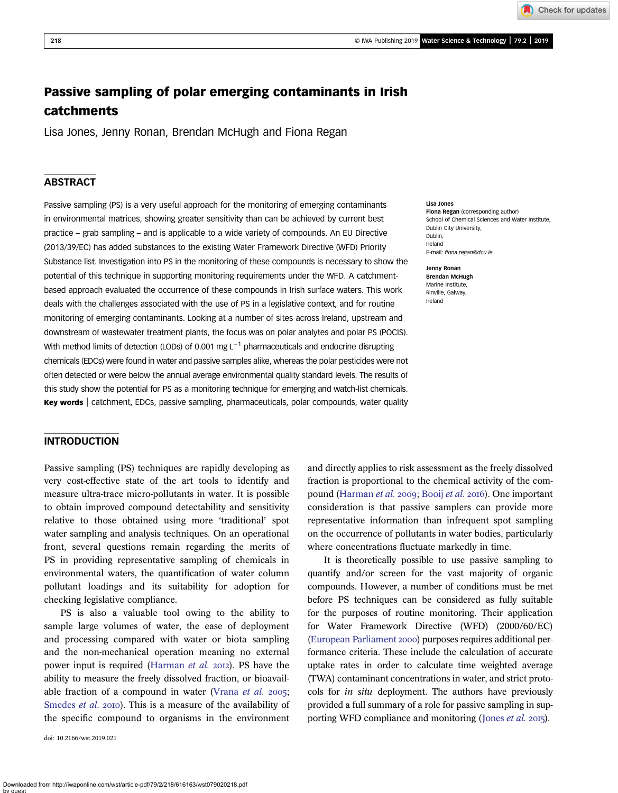Check for updates

# Passive sampling of polar emerging contaminants in Irish catchments

Lisa Jones, Jenny Ronan, Brendan McHugh and Fiona Regan

# **ABSTRACT**

Passive sampling (PS) is a very useful approach for the monitoring of emerging contaminants in environmental matrices, showing greater sensitivity than can be achieved by current best practice – grab sampling – and is applicable to a wide variety of compounds. An EU Directive (2013/39/EC) has added substances to the existing Water Framework Directive (WFD) Priority Substance list. Investigation into PS in the monitoring of these compounds is necessary to show the potential of this technique in supporting monitoring requirements under the WFD. A catchmentbased approach evaluated the occurrence of these compounds in Irish surface waters. This work deals with the challenges associated with the use of PS in a legislative context, and for routine monitoring of emerging contaminants. Looking at a number of sites across Ireland, upstream and downstream of wastewater treatment plants, the focus was on polar analytes and polar PS (POCIS). With method limits of detection (LODs) of 0.001 mg  $L^{-1}$  pharmaceuticals and endocrine disrupting chemicals (EDCs) were found in water and passive samples alike, whereas the polar pesticides were not often detected or were below the annual average environmental quality standard levels. The results of this study show the potential for PS as a monitoring technique for emerging and watch-list chemicals. Key words | catchment, EDCs, passive sampling, pharmaceuticals, polar compounds, water quality

## INTRODUCTION

Passive sampling (PS) techniques are rapidly developing as very cost-effective state of the art tools to identify and measure ultra-trace micro-pollutants in water. It is possible to obtain improved compound detectability and sensitivity relative to those obtained using more 'traditional' spot water sampling and analysis techniques. On an operational front, several questions remain regarding the merits of PS in providing representative sampling of chemicals in environmental waters, the quantification of water column pollutant loadings and its suitability for adoption for checking legislative compliance.

PS is also a valuable tool owing to the ability to sample large volumes of water, the ease of deployment and processing compared with water or biota sampling and the non-mechanical operation meaning no external power input is required [\(Harman](#page-11-0) et al. 2012). PS have the ability to measure the freely dissolved fraction, or bioavail-able fraction of a compound in water [\(Vrana](#page-12-0) *et al.* 2005; [Smedes](#page-12-0) et al. 2010). This is a measure of the availability of the specific compound to organisms in the environment

doi: 10.2166/wst.2019.021

Lisa Jones

Fiona Regan (corresponding author) School of Chemical Sciences and Water Institute, Dublin City University, Dublin, Ireland E-mail: fi[ona.regan@dcu.ie](mailto:fiona.regan@dcu.ie)

Jenny Ronan Brendan McHugh Marine Institute, Rinville, Galway, Ireland

and directly applies to risk assessment as the freely dissolved fraction is proportional to the chemical activity of the com-pound ([Harman](#page-11-0) et al. 2009; [Booij](#page-10-0) et al. 2016). One important consideration is that passive samplers can provide more representative information than infrequent spot sampling on the occurrence of pollutants in water bodies, particularly where concentrations fluctuate markedly in time.

It is theoretically possible to use passive sampling to quantify and/or screen for the vast majority of organic compounds. However, a number of conditions must be met before PS techniques can be considered as fully suitable for the purposes of routine monitoring. Their application for Water Framework Directive (WFD) (2000/60/EC) [\(European Parliament](#page-11-0) 2000) purposes requires additional performance criteria. These include the calculation of accurate uptake rates in order to calculate time weighted average (TWA) contaminant concentrations in water, and strict protocols for in situ deployment. The authors have previously provided a full summary of a role for passive sampling in sup-porting WFD compliance and monitoring ([Jones](#page-11-0) *et al.* 2015).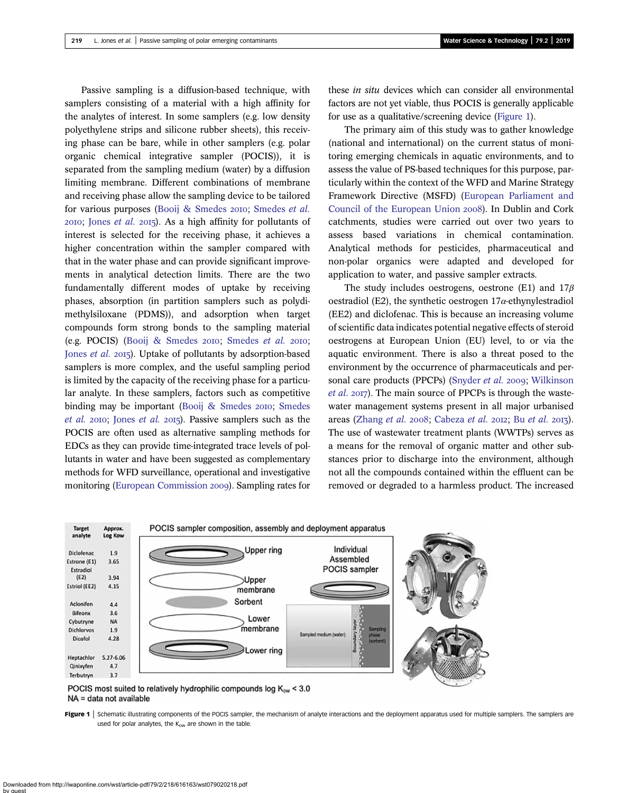Passive sampling is a diffusion-based technique, with samplers consisting of a material with a high affinity for the analytes of interest. In some samplers (e.g. low density polyethylene strips and silicone rubber sheets), this receiving phase can be bare, while in other samplers (e.g. polar organic chemical integrative sampler (POCIS)), it is separated from the sampling medium (water) by a diffusion limiting membrane. Different combinations of membrane and receiving phase allow the sampling device to be tailored for various purposes [\(Booij & Smedes](#page-10-0) 2010; [Smedes](#page-12-0) et al.  $20I0$ ; [Jones](#page-11-0) *et al.*  $20I5$ ). As a high affinity for pollutants of interest is selected for the receiving phase, it achieves a higher concentration within the sampler compared with that in the water phase and can provide significant improvements in analytical detection limits. There are the two fundamentally different modes of uptake by receiving phases, absorption (in partition samplers such as polydimethylsiloxane (PDMS)), and adsorption when target compounds form strong bonds to the sampling material (e.g. POCIS) ([Booij & Smedes](#page-10-0) 2010; [Smedes](#page-12-0) et al. 2010; [Jones](#page-11-0) *et al.* 2015). Uptake of pollutants by adsorption-based samplers is more complex, and the useful sampling period is limited by the capacity of the receiving phase for a particular analyte. In these samplers, factors such as competitive binding may be important (Booij  $&$  [Smedes](#page-12-0) 2010; Smedes *[et al.](#page-12-0)* 2010; [Jones](#page-11-0) *et al.* 2015). Passive samplers such as the POCIS are often used as alternative sampling methods for EDCs as they can provide time-integrated trace levels of pollutants in water and have been suggested as complementary methods for WFD surveillance, operational and investigative

these in situ devices which can consider all environmental factors are not yet viable, thus POCIS is generally applicable for use as a qualitative/screening device (Figure 1).

The primary aim of this study was to gather knowledge (national and international) on the current status of monitoring emerging chemicals in aquatic environments, and to assess the value of PS-based techniques for this purpose, particularly within the context of the WFD and Marine Strategy Framework Directive (MSFD) ([European Parliament and](#page-11-0) [Council of the European Union](#page-11-0) 2008). In Dublin and Cork catchments, studies were carried out over two years to assess based variations in chemical contamination. Analytical methods for pesticides, pharmaceutical and non-polar organics were adapted and developed for application to water, and passive sampler extracts.

The study includes oestrogens, oestrone (E1) and  $17\beta$ oestradiol (E2), the synthetic oestrogen  $17\alpha$ -ethynylestradiol (EE2) and diclofenac. This is because an increasing volume of scientific data indicates potential negative effects of steroid oestrogens at European Union (EU) level, to or via the aquatic environment. There is also a threat posed to the environment by the occurrence of pharmaceuticals and per-sonal care products (PPCPs) ([Snyder](#page-12-0) et al. 2009; [Wilkinson](#page-12-0) [et al.](#page-12-0) 2017). The main source of PPCPs is through the wastewater management systems present in all major urbanised areas [\(Zhang](#page-12-0) et al. 2008; [Cabeza](#page-10-0) [et al.](#page-10-0) 2012; Bu et al. 2013). The use of wastewater treatment plants (WWTPs) serves as a means for the removal of organic matter and other substances prior to discharge into the environment, although not all the compounds contained within the effluent can be removed or degraded to a harmless product. The increased



POCIS most suited to relatively hydrophilic compounds log  $K_{ow}$  < 3.0 NA = data not available

monitoring ([European Commission](#page-11-0) 2009). Sampling rates for

Figure 1 Schematic illustrating components of the POCIS sampler, the mechanism of analyte interactions and the deployment apparatus used for multiple samplers. The samplers are used for polar analytes, the  $K_{ow}$  are shown in the table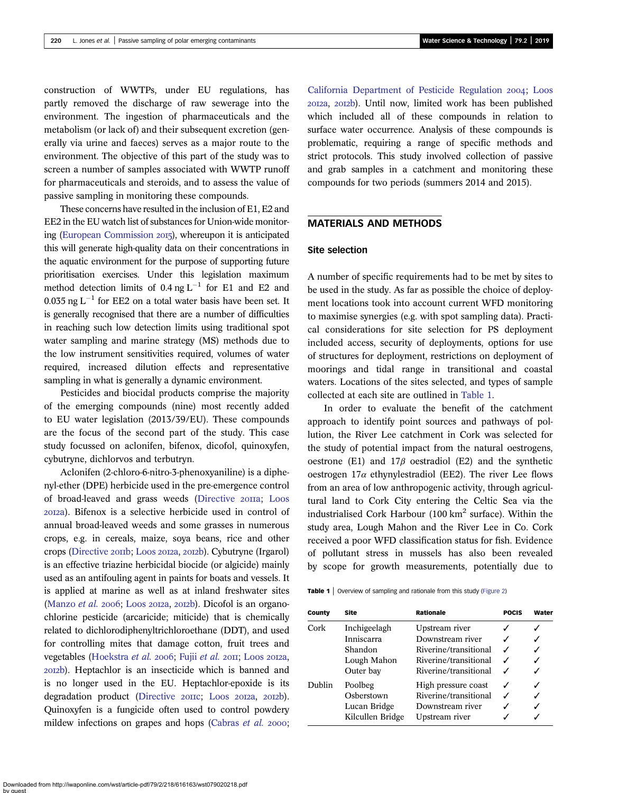construction of WWTPs, under EU regulations, has partly removed the discharge of raw sewerage into the environment. The ingestion of pharmaceuticals and the metabolism (or lack of) and their subsequent excretion (generally via urine and faeces) serves as a major route to the environment. The objective of this part of the study was to screen a number of samples associated with WWTP runoff for pharmaceuticals and steroids, and to assess the value of passive sampling in monitoring these compounds.

These concerns have resulted in the inclusion of E1, E2 and EE2 in the EU watch list of substances for Union-wide monitor-ing [\(European Commission](#page-11-0) 2015), whereupon it is anticipated this will generate high-quality data on their concentrations in the aquatic environment for the purpose of supporting future prioritisation exercises. Under this legislation maximum method detection limits of  $0.4$  ng L<sup>-1</sup> for E1 and E2 and 0.035 ng  $L^{-1}$  for EE2 on a total water basis have been set. It is generally recognised that there are a number of difficulties in reaching such low detection limits using traditional spot water sampling and marine strategy (MS) methods due to the low instrument sensitivities required, volumes of water required, increased dilution effects and representative sampling in what is generally a dynamic environment.

Pesticides and biocidal products comprise the majority of the emerging compounds (nine) most recently added to EU water legislation (2013/39/EU). These compounds are the focus of the second part of the study. This case study focussed on aclonifen, bifenox, dicofol, quinoxyfen, cybutryne, dichlorvos and terbutryn.

Aclonifen (2-chloro-6-nitro-3-phenoxyaniline) is a diphenyl-ether (DPE) herbicide used in the pre-emergence control of broad-leaved and grass weeds ([Directive](#page-10-0) 2011a; [Loos](#page-11-0) a). Bifenox is a selective herbicide used in control of annual broad-leaved weeds and some grasses in numerous crops, e.g. in cereals, maize, soya beans, rice and other crops ([Directive](#page-10-0) 2011b; [Loos](#page-11-0) 2012a, 2012b). Cybutryne (Irgarol) is an effective triazine herbicidal biocide (or algicide) mainly used as an antifouling agent in paints for boats and vessels. It is applied at marine as well as at inland freshwater sites [\(Manzo](#page-11-0) et al. 2006; [Loos](#page-11-0) 2012a, 2012b). Dicofol is an organochlorine pesticide (arcaricide; miticide) that is chemically related to dichlorodiphenyltrichloroethane (DDT), and used for controlling mites that damage cotton, fruit trees and vegetables [\(Hoekstra](#page-11-0) [et al.](#page-11-0) 2006; Fujii et al. 2011; [Loos](#page-11-0) 2012a, b). Heptachlor is an insecticide which is banned and is no longer used in the EU. Heptachlor-epoxide is its degradation product [\(Directive](#page-11-0) 20IIC; [Loos](#page-11-0) 20I2a, 20I2b). Quinoxyfen is a fungicide often used to control powdery mildew infections on grapes and hops [\(Cabras](#page-10-0)  $et$   $al.$  2000; [California Department of Pesticide Regulation](#page-10-0) 2004; [Loos](#page-11-0) 2012a, 2012b). Until now, limited work has been published which included all of these compounds in relation to surface water occurrence. Analysis of these compounds is problematic, requiring a range of specific methods and strict protocols. This study involved collection of passive and grab samples in a catchment and monitoring these compounds for two periods (summers 2014 and 2015).

# MATERIALS AND METHODS

## Site selection

A number of specific requirements had to be met by sites to be used in the study. As far as possible the choice of deployment locations took into account current WFD monitoring to maximise synergies (e.g. with spot sampling data). Practical considerations for site selection for PS deployment included access, security of deployments, options for use of structures for deployment, restrictions on deployment of moorings and tidal range in transitional and coastal waters. Locations of the sites selected, and types of sample collected at each site are outlined in Table 1.

In order to evaluate the benefit of the catchment approach to identify point sources and pathways of pollution, the River Lee catchment in Cork was selected for the study of potential impact from the natural oestrogens, oestrone (E1) and  $17\beta$  oestradiol (E2) and the synthetic oestrogen  $17\alpha$  ethynylestradiol (EE2). The river Lee flows from an area of low anthropogenic activity, through agricultural land to Cork City entering the Celtic Sea via the industrialised Cork Harbour (100  $km^2$  surface). Within the study area, Lough Mahon and the River Lee in Co. Cork received a poor WFD classification status for fish. Evidence of pollutant stress in mussels has also been revealed by scope for growth measurements, potentially due to

|  |  |  | <b>Table 1</b> Overview of sampling and rationale from this study (Figure 2) |  |  |  |
|--|--|--|------------------------------------------------------------------------------|--|--|--|
|--|--|--|------------------------------------------------------------------------------|--|--|--|

| County | Site             | Rationale             | <b>POCIS</b> | Water |
|--------|------------------|-----------------------|--------------|-------|
| Cork   | Inchigeelagh     | Upstream river        |              |       |
|        | Inniscarra       | Downstream river      |              |       |
|        | Shandon          | Riverine/transitional |              |       |
|        | Lough Mahon      | Riverine/transitional |              |       |
|        | Outer bay        | Riverine/transitional |              |       |
| Dublin | Poolbeg          | High pressure coast   |              |       |
|        | Osberstown       | Riverine/transitional |              |       |
|        | Lucan Bridge     | Downstream river      |              |       |
|        | Kilcullen Bridge | Upstream river        |              |       |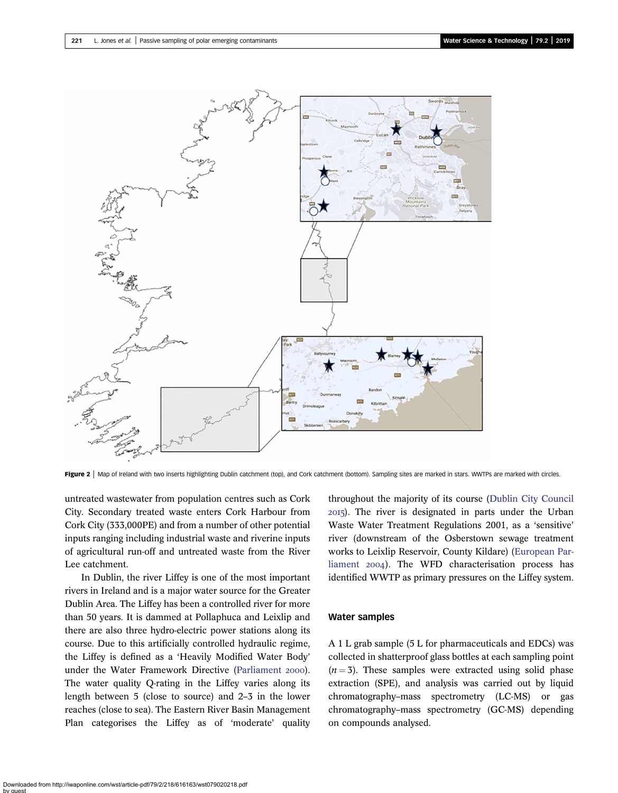<span id="page-3-0"></span>

Figure 2 | Map of Ireland with two inserts highlighting Dublin catchment (top), and Cork catchment (bottom). Sampling sites are marked in stars. WWTPs are marked with circles.

untreated wastewater from population centres such as Cork City. Secondary treated waste enters Cork Harbour from Cork City (333,000PE) and from a number of other potential inputs ranging including industrial waste and riverine inputs of agricultural run-off and untreated waste from the River Lee catchment.

In Dublin, the river Liffey is one of the most important rivers in Ireland and is a major water source for the Greater Dublin Area. The Liffey has been a controlled river for more than 50 years. It is dammed at Pollaphuca and Leixlip and there are also three hydro-electric power stations along its course. Due to this artificially controlled hydraulic regime, the Liffey is defined as a 'Heavily Modified Water Body' under the Water Framework Directive [\(Parliament](#page-11-0) 2000). The water quality Q-rating in the Liffey varies along its length between 5 (close to source) and 2–3 in the lower reaches (close to sea). The Eastern River Basin Management Plan categorises the Liffey as of 'moderate' quality

throughout the majority of its course ([Dublin City Council](#page-11-0) ). The river is designated in parts under the Urban Waste Water Treatment Regulations 2001, as a 'sensitive' river (downstream of the Osberstown sewage treatment works to Leixlip Reservoir, County Kildare) ([European Par](#page-11-0)[liament](#page-11-0) 2004). The WFD characterisation process has identified WWTP as primary pressures on the Liffey system.

#### Water samples

A 1 L grab sample (5 L for pharmaceuticals and EDCs) was collected in shatterproof glass bottles at each sampling point  $(n = 3)$ . These samples were extracted using solid phase extraction (SPE), and analysis was carried out by liquid chromatography–mass spectrometry (LC-MS) or gas chromatography–mass spectrometry (GC-MS) depending on compounds analysed.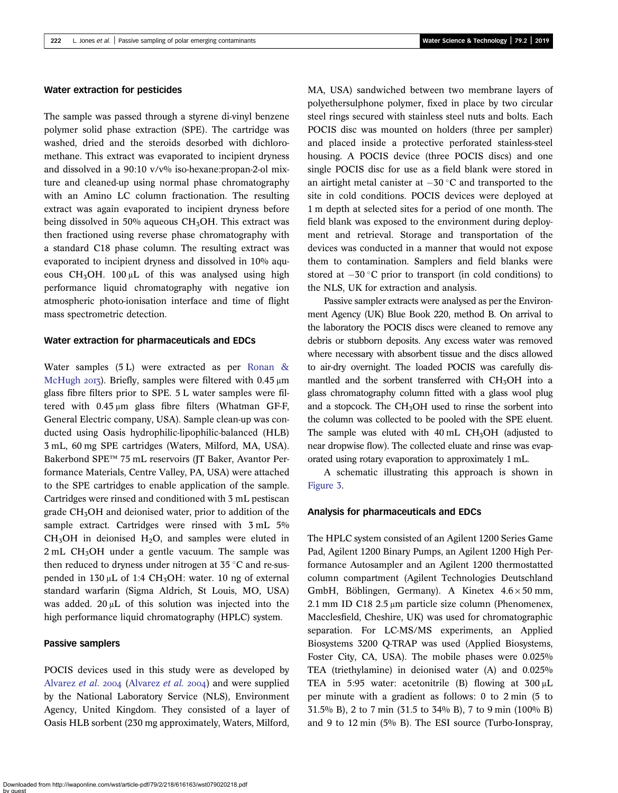## Water extraction for pesticides

The sample was passed through a styrene di-vinyl benzene polymer solid phase extraction (SPE). The cartridge was washed, dried and the steroids desorbed with dichloromethane. This extract was evaporated to incipient dryness and dissolved in a  $90:10 \frac{v}{v\%}$  iso-hexane:propan-2-ol mixture and cleaned-up using normal phase chromatography with an Amino LC column fractionation. The resulting extract was again evaporated to incipient dryness before being dissolved in 50% aqueous  $CH<sub>3</sub>OH$ . This extract was then fractioned using reverse phase chromatography with a standard C18 phase column. The resulting extract was evaporated to incipient dryness and dissolved in 10% aqueous CH<sub>3</sub>OH. 100 μL of this was analysed using high performance liquid chromatography with negative ion atmospheric photo-ionisation interface and time of flight mass spectrometric detection.

## Water extraction for pharmaceuticals and EDCs

Water samples (5 L) were extracted as per [Ronan &](#page-11-0) [McHugh](#page-11-0) 2013). Briefly, samples were filtered with  $0.45 \mu m$ glass fibre filters prior to SPE. 5 L water samples were filtered with 0.45 μm glass fibre filters (Whatman GF-F, General Electric company, USA). Sample clean-up was conducted using Oasis hydrophilic-lipophilic-balanced (HLB) 3 mL, 60 mg SPE cartridges (Waters, Milford, MA, USA). Bakerbond SPE™ 75 mL reservoirs (JT Baker, Avantor Performance Materials, Centre Valley, PA, USA) were attached to the SPE cartridges to enable application of the sample. Cartridges were rinsed and conditioned with 3 mL pestiscan grade  $CH<sub>3</sub>OH$  and deionised water, prior to addition of the sample extract. Cartridges were rinsed with 3 mL 5%  $CH<sub>3</sub>OH$  in deionised  $H<sub>2</sub>O$ , and samples were eluted in  $2 \text{ mL } CH_3OH$  under a gentle vacuum. The sample was then reduced to dryness under nitrogen at  $35^{\circ}$ C and re-suspended in 130  $\mu$ L of 1:4 CH<sub>3</sub>OH: water. 10 ng of external standard warfarin (Sigma Aldrich, St Louis, MO, USA) was added. 20 μL of this solution was injected into the high performance liquid chromatography (HPLC) system.

#### Passive samplers

POCIS devices used in this study were as developed by [Alvarez](#page-10-0) et al.  $2004$  (Alvarez et al.  $2004$ ) and were supplied by the National Laboratory Service (NLS), Environment Agency, United Kingdom. They consisted of a layer of Oasis HLB sorbent (230 mg approximately, Waters, Milford, MA, USA) sandwiched between two membrane layers of polyethersulphone polymer, fixed in place by two circular steel rings secured with stainless steel nuts and bolts. Each POCIS disc was mounted on holders (three per sampler) and placed inside a protective perforated stainless-steel housing. A POCIS device (three POCIS discs) and one single POCIS disc for use as a field blank were stored in an airtight metal canister at  $-30$  °C and transported to the site in cold conditions. POCIS devices were deployed at 1 m depth at selected sites for a period of one month. The field blank was exposed to the environment during deployment and retrieval. Storage and transportation of the devices was conducted in a manner that would not expose them to contamination. Samplers and field blanks were stored at  $-30$  °C prior to transport (in cold conditions) to the NLS, UK for extraction and analysis.

Passive sampler extracts were analysed as per the Environment Agency (UK) Blue Book 220, method B. On arrival to the laboratory the POCIS discs were cleaned to remove any debris or stubborn deposits. Any excess water was removed where necessary with absorbent tissue and the discs allowed to air-dry overnight. The loaded POCIS was carefully dismantled and the sorbent transferred with CH<sub>3</sub>OH into a glass chromatography column fitted with a glass wool plug and a stopcock. The  $CH<sub>3</sub>OH$  used to rinse the sorbent into the column was collected to be pooled with the SPE eluent. The sample was eluted with  $40 \text{ mL } CH<sub>3</sub>OH$  (adjusted to near dropwise flow). The collected eluate and rinse was evaporated using rotary evaporation to approximately 1 mL.

A schematic illustrating this approach is shown in [Figure 3.](#page-5-0)

#### Analysis for pharmaceuticals and EDCs

The HPLC system consisted of an Agilent 1200 Series Game Pad, Agilent 1200 Binary Pumps, an Agilent 1200 High Performance Autosampler and an Agilent 1200 thermostatted column compartment (Agilent Technologies Deutschland GmbH, Böblingen, Germany). A Kinetex  $4.6 \times 50$  mm, 2.1 mm ID C18 2.5 μm particle size column (Phenomenex, Macclesfield, Cheshire, UK) was used for chromatographic separation. For LC-MS/MS experiments, an Applied Biosystems 3200 Q-TRAP was used (Applied Biosystems, Foster City, CA, USA). The mobile phases were 0.025% TEA (triethylamine) in deionised water (A) and 0.025% TEA in 5:95 water: acetonitrile (B) flowing at  $300 \mu L$ per minute with a gradient as follows: 0 to 2 min (5 to 31.5% B), 2 to 7 min (31.5 to 34% B), 7 to 9 min (100% B) and 9 to 12 min (5% B). The ESI source (Turbo-Ionspray,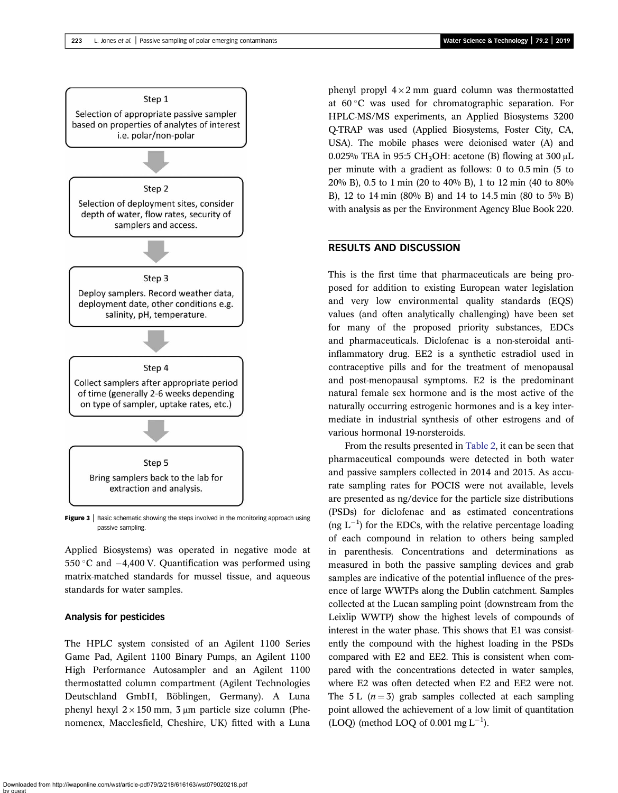<span id="page-5-0"></span>

Figure 3 | Basic schematic showing the steps involved in the monitoring approach using passive sampling.

Applied Biosystems) was operated in negative mode at 550 °C and  $-4,400$  V. Quantification was performed using matrix-matched standards for mussel tissue, and aqueous standards for water samples.

#### Analysis for pesticides

The HPLC system consisted of an Agilent 1100 Series Game Pad, Agilent 1100 Binary Pumps, an Agilent 1100 High Performance Autosampler and an Agilent 1100 thermostatted column compartment (Agilent Technologies Deutschland GmbH, Böblingen, Germany). A Luna phenyl hexyl  $2 \times 150$  mm,  $3 \mu$ m particle size column (Phenomenex, Macclesfield, Cheshire, UK) fitted with a Luna phenyl propyl  $4 \times 2$  mm guard column was thermostatted at 60 C was used for chromatographic separation. For HPLC-MS/MS experiments, an Applied Biosystems 3200 Q-TRAP was used (Applied Biosystems, Foster City, CA, USA). The mobile phases were deionised water (A) and 0.025% TEA in 95:5 CH<sub>3</sub>OH: acetone (B) flowing at 300  $\mu$ L per minute with a gradient as follows: 0 to 0.5 min (5 to 20% B), 0.5 to 1 min (20 to 40% B), 1 to 12 min (40 to 80% B), 12 to 14 min (80% B) and 14 to 14.5 min (80 to 5% B) with analysis as per the Environment Agency Blue Book 220.

# RESULTS AND DISCUSSION

This is the first time that pharmaceuticals are being proposed for addition to existing European water legislation and very low environmental quality standards (EQS) values (and often analytically challenging) have been set for many of the proposed priority substances, EDCs and pharmaceuticals. Diclofenac is a non-steroidal antiinflammatory drug. EE2 is a synthetic estradiol used in contraceptive pills and for the treatment of menopausal and post-menopausal symptoms. E2 is the predominant natural female sex hormone and is the most active of the naturally occurring estrogenic hormones and is a key intermediate in industrial synthesis of other estrogens and of various hormonal 19-norsteroids.

From the results presented in [Table 2,](#page-6-0) it can be seen that pharmaceutical compounds were detected in both water and passive samplers collected in 2014 and 2015. As accurate sampling rates for POCIS were not available, levels are presented as ng/device for the particle size distributions (PSDs) for diclofenac and as estimated concentrations (ng  $L^{-1}$ ) for the EDCs, with the relative percentage loading of each compound in relation to others being sampled in parenthesis. Concentrations and determinations as measured in both the passive sampling devices and grab samples are indicative of the potential influence of the presence of large WWTPs along the Dublin catchment. Samples collected at the Lucan sampling point (downstream from the Leixlip WWTP) show the highest levels of compounds of interest in the water phase. This shows that E1 was consistently the compound with the highest loading in the PSDs compared with E2 and EE2. This is consistent when compared with the concentrations detected in water samples, where E2 was often detected when E2 and EE2 were not. The 5 L  $(n=3)$  grab samples collected at each sampling point allowed the achievement of a low limit of quantitation  $(LOQ)$  (method LOQ of 0.001 mg L<sup>-1</sup>).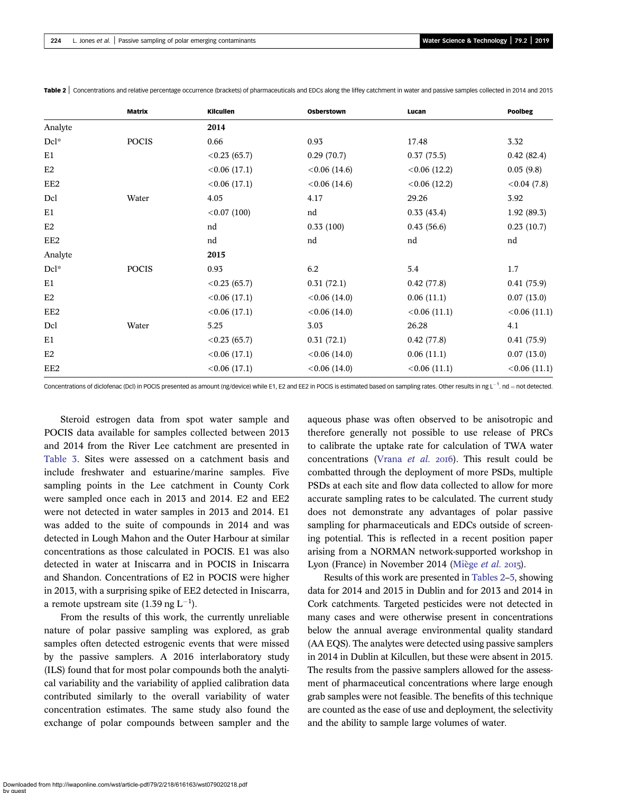|         | <b>Matrix</b> | Kilcullen       | Osberstown      | Lucan           | <b>Poolbeg</b> |
|---------|---------------|-----------------|-----------------|-----------------|----------------|
| Analyte |               | 2014            |                 |                 |                |
| Dcl*    | <b>POCIS</b>  | 0.66            | 0.93            | 17.48           | 3.32           |
| E1      |               | $< 0.23$ (65.7) | 0.29(70.7)      | 0.37(75.5)      | 0.42(82.4)     |
| E2      |               | < 0.06(17.1)    | $< 0.06$ (14.6) | $< 0.06$ (12.2) | 0.05(9.8)      |
| EE2     |               | < 0.06(17.1)    | $< 0.06$ (14.6) | $< 0.06$ (12.2) | < 0.04(7.8)    |
| Dcl     | Water         | 4.05            | 4.17            | 29.26           | 3.92           |
| E1      |               | < 0.07(100)     | nd              | 0.33(43.4)      | 1.92(89.3)     |
| E2      |               | nd              | 0.33(100)       | 0.43(56.6)      | 0.23(10.7)     |
| EE2     |               | nd              | nd              | nd              | nd             |
| Analyte |               | 2015            |                 |                 |                |
| Dcl*    | <b>POCIS</b>  | 0.93            | 6.2             | 5.4             | 1.7            |
| E1      |               | $< 0.23$ (65.7) | 0.31(72.1)      | 0.42(77.8)      | 0.41(75.9)     |
| E2      |               | < 0.06(17.1)    | $< 0.06$ (14.0) | 0.06(11.1)      | 0.07(13.0)     |
| EE2     |               | < 0.06(17.1)    | $< 0.06$ (14.0) | < 0.06(11.1)    | <0.06(11.1)    |
| Dcl     | Water         | 5.25            | 3.03            | 26.28           | 4.1            |
| E1      |               | $< 0.23$ (65.7) | 0.31(72.1)      | 0.42(77.8)      | 0.41(75.9)     |
| E2      |               | < 0.06(17.1)    | $< 0.06$ (14.0) | 0.06(11.1)      | 0.07(13.0)     |
| EE2     |               | < 0.06(17.1)    | $< 0.06$ (14.0) | < 0.06(11.1)    | < 0.06(11.1)   |

<span id="page-6-0"></span>Table 2 | Concentrations and relative percentage occurrence (brackets) of pharmaceuticals and EDCs along the liffey catchment in water and passive samples collected in 2014 and 2015

Concentrations of diclofenac (Dcl) in POCIS presented as amount (ng/device) while E1, E2 and EE2 in POCIS is estimated based on sampling rates. Other results in ng L<sup>-1</sup>. nd = not detected.

Steroid estrogen data from spot water sample and POCIS data available for samples collected between 2013 and 2014 from the River Lee catchment are presented in [Table 3](#page-7-0). Sites were assessed on a catchment basis and include freshwater and estuarine/marine samples. Five sampling points in the Lee catchment in County Cork were sampled once each in 2013 and 2014. E2 and EE2 were not detected in water samples in 2013 and 2014. E1 was added to the suite of compounds in 2014 and was detected in Lough Mahon and the Outer Harbour at similar concentrations as those calculated in POCIS. E1 was also detected in water at Iniscarra and in POCIS in Iniscarra and Shandon. Concentrations of E2 in POCIS were higher in 2013, with a surprising spike of EE2 detected in Iniscarra, a remote upstream site  $(1.39 \text{ ng L}^{-1})$ .

From the results of this work, the currently unreliable nature of polar passive sampling was explored, as grab samples often detected estrogenic events that were missed by the passive samplers. A 2016 interlaboratory study (ILS) found that for most polar compounds both the analytical variability and the variability of applied calibration data contributed similarly to the overall variability of water concentration estimates. The same study also found the exchange of polar compounds between sampler and the aqueous phase was often observed to be anisotropic and therefore generally not possible to use release of PRCs to calibrate the uptake rate for calculation of TWA water concentrations ([Vrana](#page-12-0) et al. 2016). This result could be combatted through the deployment of more PSDs, multiple PSDs at each site and flow data collected to allow for more accurate sampling rates to be calculated. The current study does not demonstrate any advantages of polar passive sampling for pharmaceuticals and EDCs outside of screening potential. This is reflected in a recent position paper arising from a NORMAN network-supported workshop in Lyon (France) in November 2014 ([Miège](#page-11-0) et al. 2015).

Results of this work are presented in Tables 2–[5,](#page-9-0) showing data for 2014 and 2015 in Dublin and for 2013 and 2014 in Cork catchments. Targeted pesticides were not detected in many cases and were otherwise present in concentrations below the annual average environmental quality standard (AA EQS). The analytes were detected using passive samplers in 2014 in Dublin at Kilcullen, but these were absent in 2015. The results from the passive samplers allowed for the assessment of pharmaceutical concentrations where large enough grab samples were not feasible. The benefits of this technique are counted as the ease of use and deployment, the selectivity and the ability to sample large volumes of water.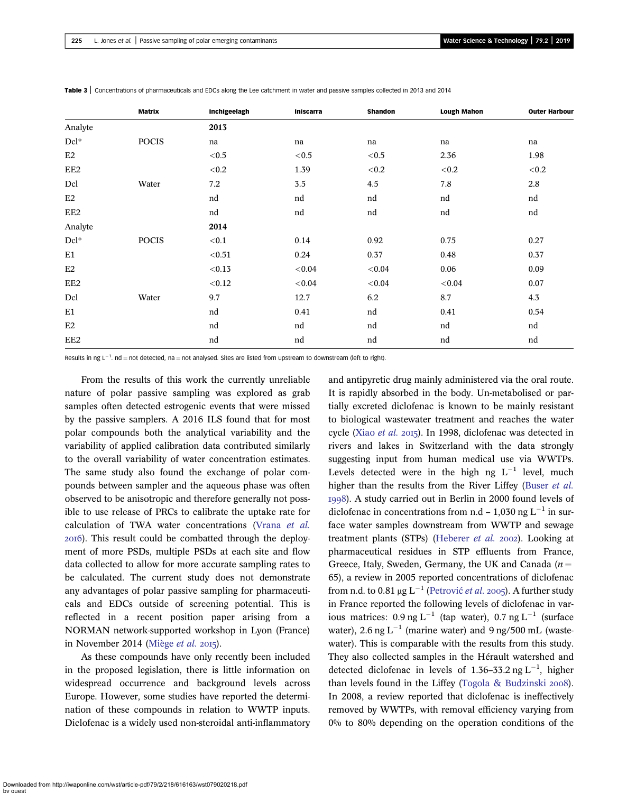|                  | Matrix       | Inchigeelagh | Iniscarra | Shandon | <b>Lough Mahon</b> | <b>Outer Harbour</b> |
|------------------|--------------|--------------|-----------|---------|--------------------|----------------------|
| Analyte          |              | 2013         |           |         |                    |                      |
| $Dcl^*$          | <b>POCIS</b> | na           | na        | na      | na                 | na                   |
| E2               |              | < 0.5        | $<\!0.5$  | < 0.5   | 2.36               | 1.98                 |
| EE2              |              | < 0.2        | 1.39      | < 0.2   | < 0.2              | < 0.2                |
| Dcl              | Water        | 7.2          | $3.5\,$   | 4.5     | 7.8                | 2.8                  |
| E2               |              | nd           | nd        | nd      | nd                 | nd                   |
| EE2              |              | nd           | nd        | nd      | nd                 | nd                   |
| Analyte          |              | 2014         |           |         |                    |                      |
| $\mathrm{Dcl}^*$ | <b>POCIS</b> | < 0.1        | 0.14      | 0.92    | 0.75               | 0.27                 |
| E1               |              | < 0.51       | 0.24      | 0.37    | 0.48               | 0.37                 |
| E2               |              | < 0.13       | < 0.04    | < 0.04  | 0.06               | 0.09                 |
| EE <sub>2</sub>  |              | < 0.12       | < 0.04    | < 0.04  | < 0.04             | 0.07                 |
| Dcl              | Water        | 9.7          | 12.7      | 6.2     | $8.7\,$            | 4.3                  |
| E1               |              | nd           | 0.41      | nd      | 0.41               | 0.54                 |
| E2               |              | nd           | nd        | nd      | nd                 | nd                   |
| EE2              |              | nd           | nd        | nd      | nd                 | nd                   |

<span id="page-7-0"></span>Table 3 | Concentrations of pharmaceuticals and EDCs along the Lee catchment in water and passive samples collected in 2013 and 2014

Results in ng L<sup>-1</sup>. nd = not detected, na = not analysed. Sites are listed from upstream to downstream (left to right).

From the results of this work the currently unreliable nature of polar passive sampling was explored as grab samples often detected estrogenic events that were missed by the passive samplers. A 2016 ILS found that for most polar compounds both the analytical variability and the variability of applied calibration data contributed similarly to the overall variability of water concentration estimates. The same study also found the exchange of polar compounds between sampler and the aqueous phase was often observed to be anisotropic and therefore generally not possible to use release of PRCs to calibrate the uptake rate for calculation of TWA water concentrations [\(Vrana](#page-12-0) et al. ). This result could be combatted through the deployment of more PSDs, multiple PSDs at each site and flow data collected to allow for more accurate sampling rates to be calculated. The current study does not demonstrate any advantages of polar passive sampling for pharmaceuticals and EDCs outside of screening potential. This is reflected in a recent position paper arising from a NORMAN network-supported workshop in Lyon (France) in November 2014 ([Miège](#page-11-0) *et al.* 2015).

As these compounds have only recently been included in the proposed legislation, there is little information on widespread occurrence and background levels across Europe. However, some studies have reported the determination of these compounds in relation to WWTP inputs. Diclofenac is a widely used non-steroidal anti-inflammatory and antipyretic drug mainly administered via the oral route. It is rapidly absorbed in the body. Un-metabolised or partially excreted diclofenac is known to be mainly resistant to biological wastewater treatment and reaches the water cycle (Xiao *[et al.](#page-12-0)* 2015). In 1998, diclofenac was detected in rivers and lakes in Switzerland with the data strongly suggesting input from human medical use via WWTPs. Levels detected were in the high ng  $L^{-1}$  level, much higher than the results from the River Liffey ([Buser](#page-10-0) et al. ). A study carried out in Berlin in 2000 found levels of diclofenac in concentrations from n.d – 1,030 ng  $L^{-1}$  in surface water samples downstream from WWTP and sewage treatment plants (STPs) ([Heberer](#page-11-0) et al. 2002). Looking at pharmaceutical residues in STP effluents from France, Greece, Italy, Sweden, Germany, the UK and Canada ( $n =$ 65), a review in 2005 reported concentrations of diclofenac from n.d. to 0.81  $\mu$ g L<sup>-1</sup> (Petrović *et al.* 2005). A further study in France reported the following levels of diclofenac in various matrices:  $0.9$  ng L<sup>-1</sup> (tap water),  $0.7$  ng L<sup>-1</sup> (surface water), 2.6 ng  $L^{-1}$  (marine water) and 9 ng/500 mL (wastewater). This is comparable with the results from this study. They also collected samples in the Hérault watershed and detected diclofenac in levels of 1.36-33.2 ng  $L^{-1}$ , higher than levels found in the Liffey ([Togola & Budzinski](#page-12-0)  $2008$ ). In 2008, a review reported that diclofenac is ineffectively removed by WWTPs, with removal efficiency varying from 0% to 80% depending on the operation conditions of the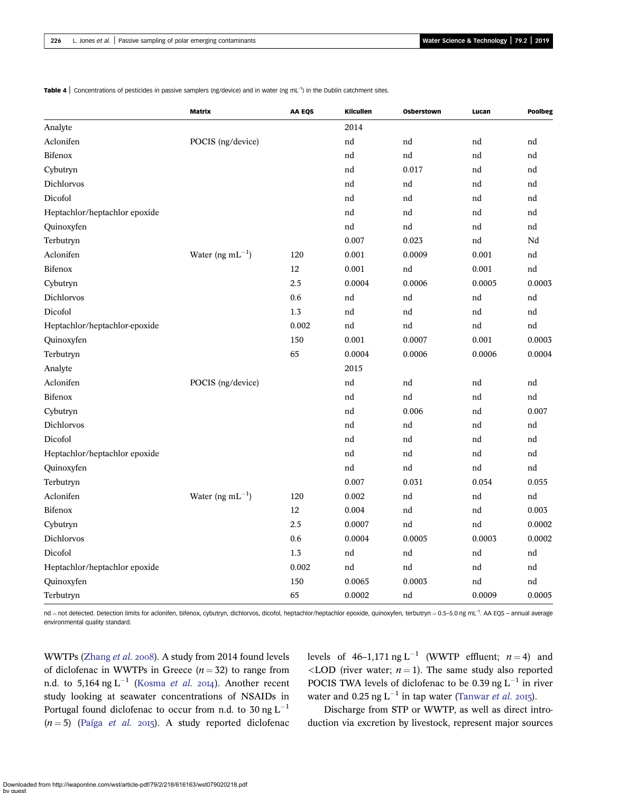**Table 4** Concentrations of pesticides in passive samplers (ng/device) and in water (ng mL<sup>-1</sup>) in the Dublin catchment sites.

|                               | <b>Matrix</b>         | <b>AA EQS</b> | Kilcullen | Osberstown | Lucan  | Poolbeg |
|-------------------------------|-----------------------|---------------|-----------|------------|--------|---------|
| Analyte                       |                       |               | 2014      |            |        |         |
| Aclonifen                     | POCIS (ng/device)     |               | nd        | nd         | nd     | nd      |
| Bifenox                       |                       |               | nd        | nd         | nd     | nd      |
| Cybutryn                      |                       |               | nd        | 0.017      | nd     | nd      |
| Dichlorvos                    |                       |               | nd        | nd         | nd     | nd      |
| Dicofol                       |                       |               | nd        | nd         | nd     | nd      |
| Heptachlor/heptachlor epoxide |                       |               | nd        | nd         | nd     | nd      |
| Quinoxyfen                    |                       |               | nd        | nd         | nd     | nd      |
| Terbutryn                     |                       |               | 0.007     | 0.023      | nd     | Nd      |
| Aclonifen                     | Water (ng $mL^{-1}$ ) | 120           | 0.001     | 0.0009     | 0.001  | nd      |
| Bifenox                       |                       | 12            | 0.001     | nd         | 0.001  | nd      |
| Cybutryn                      |                       | 2.5           | 0.0004    | 0.0006     | 0.0005 | 0.0003  |
| Dichlorvos                    |                       | 0.6           | nd        | nd         | nd     | nd      |
| Dicofol                       |                       | 1.3           | nd        | nd         | nd     | nd      |
| Heptachlor/heptachlor-epoxide |                       | 0.002         | nd        | nd         | nd     | nd      |
| Quinoxyfen                    |                       | 150           | 0.001     | 0.0007     | 0.001  | 0.0003  |
| Terbutryn                     |                       | 65            | 0.0004    | 0.0006     | 0.0006 | 0.0004  |
| Analyte                       |                       |               | 2015      |            |        |         |
| Aclonifen                     | POCIS (ng/device)     |               | nd        | nd         | nd     | nd      |
| Bifenox                       |                       |               | nd        | nd         | nd     | nd      |
| Cybutryn                      |                       |               | nd        | 0.006      | nd     | 0.007   |
| Dichlorvos                    |                       |               | nd        | nd         | nd     | nd      |
| Dicofol                       |                       |               | nd        | nd         | nd     | nd      |
| Heptachlor/heptachlor epoxide |                       |               | nd        | nd         | nd     | nd      |
| Quinoxyfen                    |                       |               | nd        | nd         | nd     | nd      |
| Terbutryn                     |                       |               | 0.007     | 0.031      | 0.054  | 0.055   |
| Aclonifen                     | Water (ng $mL^{-1}$ ) | 120           | 0.002     | nd         | nd     | nd      |
| Bifenox                       |                       | 12            | 0.004     | nd         | nd     | 0.003   |
| Cybutryn                      |                       | 2.5           | 0.0007    | nd         | nd     | 0.0002  |
| Dichlorvos                    |                       | 0.6           | 0.0004    | 0.0005     | 0.0003 | 0.0002  |
| Dicofol                       |                       | 1.3           | nd        | nd         | nd     | nd      |
| Heptachlor/heptachlor epoxide |                       | 0.002         | nd        | nd         | nd     | nd      |
| Quinoxyfen                    |                       | 150           | 0.0065    | 0.0003     | nd     | nd      |
| Terbutryn                     |                       | 65            | 0.0002    | nd         | 0.0009 | 0.0005  |

nd = not detected. Detection limits for aclonifen, bifenox, cybutryn, dichlorvos, dicofol, heptachlor/heptachlor epoxide, quinoxyfen, terbutryn = 0.5-5.0 ng mL<sup>-1</sup>. AA EQS - annual average environmental quality standard.

WWTPs ([Zhang](#page-12-0) et al. 2008). A study from 2014 found levels of diclofenac in WWTPs in Greece  $(n = 32)$  to range from n.d. to  $5,164$  ng L<sup>-1</sup> [\(Kosma](#page-11-0) et al. 2014). Another recent study looking at seawater concentrations of NSAIDs in Portugal found diclofenac to occur from n.d. to 30 ng  $L^{-1}$  $(n = 5)$  (Paíga [et al.](#page-11-0) 2015). A study reported diclofenac

levels of 46–1,171 ng L<sup>-1</sup> (WWTP effluent;  $n = 4$ ) and  $\langle$ LOD (river water;  $n = 1$ ). The same study also reported POCIS TWA levels of diclofenac to be 0.39 ng  $L^{-1}$  in river water and 0.25 ng  $L^{-1}$  in tap water ([Tanwar](#page-12-0) et al. 2015).

Discharge from STP or WWTP, as well as direct introduction via excretion by livestock, represent major sources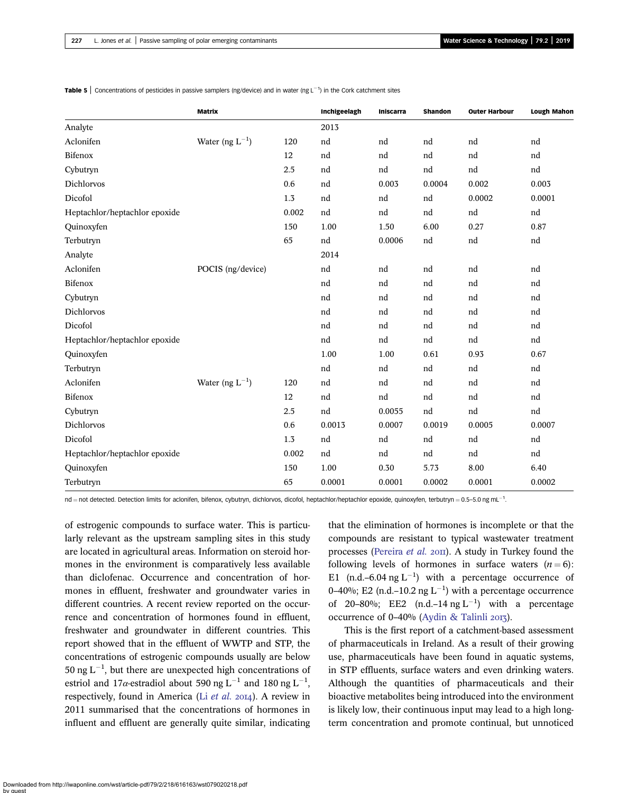|                               | <b>Matrix</b>        |       | Inchigeelagh | <b>Iniscarra</b> | <b>Shandon</b> | <b>Outer Harbour</b> | <b>Lough Mahon</b> |
|-------------------------------|----------------------|-------|--------------|------------------|----------------|----------------------|--------------------|
| Analyte                       |                      |       | 2013         |                  |                |                      |                    |
| Aclonifen                     | Water (ng $L^{-1}$ ) | 120   | nd           | nd               | nd             | nd                   | nd                 |
| Bifenox                       |                      | 12    | nd           | nd               | nd             | nd                   | nd                 |
| Cybutryn                      |                      | 2.5   | nd           | nd               | nd             | nd                   | nd                 |
| Dichlorvos                    |                      | 0.6   | nd           | 0.003            | 0.0004         | 0.002                | 0.003              |
| Dicofol                       |                      | 1.3   | nd           | nd               | nd             | 0.0002               | 0.0001             |
| Heptachlor/heptachlor epoxide |                      | 0.002 | nd           | nd               | nd             | nd                   | nd                 |
| Quinoxyfen                    |                      | 150   | 1.00         | 1.50             | 6.00           | 0.27                 | 0.87               |
| Terbutryn                     |                      | 65    | nd           | 0.0006           | nd             | nd                   | nd                 |
| Analyte                       |                      |       | 2014         |                  |                |                      |                    |
| Aclonifen                     | POCIS (ng/device)    |       | nd           | nd               | nd             | nd                   | nd                 |
| Bifenox                       |                      |       | nd           | nd               | nd             | nd                   | nd                 |
| Cybutryn                      |                      |       | nd           | nd               | nd             | nd                   | nd                 |
| Dichlorvos                    |                      |       | nd           | nd               | nd             | nd                   | nd                 |
| Dicofol                       |                      |       | nd           | nd               | nd             | nd                   | nd                 |
| Heptachlor/heptachlor epoxide |                      |       | nd           | nd               | nd             | nd                   | nd                 |
| Quinoxyfen                    |                      |       | 1.00         | 1.00             | 0.61           | 0.93                 | 0.67               |
| Terbutryn                     |                      |       | nd           | nd               | nd             | nd                   | nd                 |
| Aclonifen                     | Water (ng $L^{-1}$ ) | 120   | nd           | nd               | nd             | nd                   | nd                 |
| Bifenox                       |                      | 12    | nd           | nd               | nd             | nd                   | nd                 |
| Cybutryn                      |                      | 2.5   | nd           | 0.0055           | nd             | nd                   | nd                 |
| <b>Dichlorvos</b>             |                      | 0.6   | 0.0013       | 0.0007           | 0.0019         | 0.0005               | 0.0007             |
| Dicofol                       |                      | 1.3   | nd           | nd               | nd             | nd                   | nd                 |
| Heptachlor/heptachlor epoxide |                      | 0.002 | nd           | nd               | nd             | nd                   | nd                 |
| Quinoxyfen                    |                      | 150   | 1.00         | 0.30             | 5.73           | 8.00                 | 6.40               |
| Terbutryn                     |                      | 65    | 0.0001       | 0.0001           | 0.0002         | 0.0001               | 0.0002             |

<span id="page-9-0"></span>**Table 5** Concentrations of pesticides in passive samplers (ng/device) and in water (ng L<sup>-1</sup>) in the Cork catchment sites

 ${\sf nd} = {\sf not}$  detected. Detection limits for aclonifen, bifenox, cybutryn, dichlorvos, dicofol, heptachlor/heptachlor epoxide, quinoxyfen, terbutryn = 0.5–5.0 ng mL $^{-1}$ .

of estrogenic compounds to surface water. This is particularly relevant as the upstream sampling sites in this study are located in agricultural areas. Information on steroid hormones in the environment is comparatively less available than diclofenac. Occurrence and concentration of hormones in effluent, freshwater and groundwater varies in different countries. A recent review reported on the occurrence and concentration of hormones found in effluent, freshwater and groundwater in different countries. This report showed that in the effluent of WWTP and STP, the concentrations of estrogenic compounds usually are below 50 ng  $L^{-1}$ , but there are unexpected high concentrations of estriol and 17 $\alpha$ -estradiol about 590 ng L<sup>-1</sup> and 180 ng L<sup>-1</sup>, respectively, found in America (Li [et al.](#page-11-0) 2014). A review in 2011 summarised that the concentrations of hormones in influent and effluent are generally quite similar, indicating that the elimination of hormones is incomplete or that the compounds are resistant to typical wastewater treatment processes ([Pereira](#page-11-0)  $et$   $al$ .  $20\text{II}$ ). A study in Turkey found the following levels of hormones in surface waters  $(n = 6)$ : E1 (n.d.–6.04 ng  $L^{-1}$ ) with a percentage occurrence of 0–40%; E2 (n.d.–10.2 ng  $L^{-1}$ ) with a percentage occurrence of 20-80%; EE2  $(n.d.-14 \text{ ng } L^{-1})$  with a percentage occurrence of  $0-40%$  [\(Aydin & Talinli](#page-10-0) 2013).

This is the first report of a catchment-based assessment of pharmaceuticals in Ireland. As a result of their growing use, pharmaceuticals have been found in aquatic systems, in STP effluents, surface waters and even drinking waters. Although the quantities of pharmaceuticals and their bioactive metabolites being introduced into the environment is likely low, their continuous input may lead to a high longterm concentration and promote continual, but unnoticed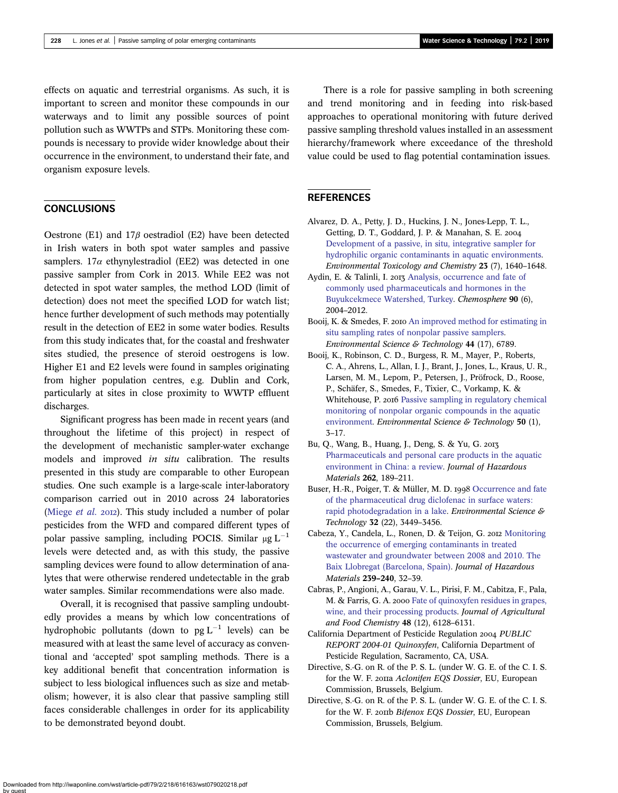<span id="page-10-0"></span>effects on aquatic and terrestrial organisms. As such, it is important to screen and monitor these compounds in our waterways and to limit any possible sources of point pollution such as WWTPs and STPs. Monitoring these compounds is necessary to provide wider knowledge about their occurrence in the environment, to understand their fate, and organism exposure levels.

# **CONCLUSIONS**

Oestrone (E1) and  $17\beta$  oestradiol (E2) have been detected in Irish waters in both spot water samples and passive samplers.  $17\alpha$  ethynylestradiol (EE2) was detected in one passive sampler from Cork in 2013. While EE2 was not detected in spot water samples, the method LOD (limit of detection) does not meet the specified LOD for watch list; hence further development of such methods may potentially result in the detection of EE2 in some water bodies. Results from this study indicates that, for the coastal and freshwater sites studied, the presence of steroid oestrogens is low. Higher E1 and E2 levels were found in samples originating from higher population centres, e.g. Dublin and Cork, particularly at sites in close proximity to WWTP effluent discharges.

Significant progress has been made in recent years (and throughout the lifetime of this project) in respect of the development of mechanistic sampler-water exchange models and improved in situ calibration. The results presented in this study are comparable to other European studies. One such example is a large-scale inter-laboratory comparison carried out in 2010 across 24 laboratories ([Miege](#page-11-0) *et al.* 2012). This study included a number of polar pesticides from the WFD and compared different types of polar passive sampling, including POCIS. Similar  $\mu$ g L<sup>-1</sup> levels were detected and, as with this study, the passive sampling devices were found to allow determination of analytes that were otherwise rendered undetectable in the grab water samples. Similar recommendations were also made.

Overall, it is recognised that passive sampling undoubtedly provides a means by which low concentrations of hydrophobic pollutants (down to  $pg L^{-1}$  levels) can be measured with at least the same level of accuracy as conventional and 'accepted' spot sampling methods. There is a key additional benefit that concentration information is subject to less biological influences such as size and metabolism; however, it is also clear that passive sampling still faces considerable challenges in order for its applicability to be demonstrated beyond doubt.

There is a role for passive sampling in both screening and trend monitoring and in feeding into risk-based approaches to operational monitoring with future derived passive sampling threshold values installed in an assessment hierarchy/framework where exceedance of the threshold value could be used to flag potential contamination issues.

## **REFERENCES**

- Alvarez, D. A., Petty, J. D., Huckins, J. N., Jones-Lepp, T. L., Getting, D. T., Goddard, J. P. & Manahan, S. E. [Development of a passive, in situ, integrative sampler for](http://dx.doi.org/10.1897/03-603) [hydrophilic organic contaminants in aquatic environments](http://dx.doi.org/10.1897/03-603). Environmental Toxicology and Chemistry 23 (7), 1640–1648.
- Aydin, E. & Talinli, I. 2013 [Analysis, occurrence and fate of](http://dx.doi.org/10.1016/j.chemosphere.2012.10.074) [commonly used pharmaceuticals and hormones in the](http://dx.doi.org/10.1016/j.chemosphere.2012.10.074) [Buyukcekmece Watershed, Turkey](http://dx.doi.org/10.1016/j.chemosphere.2012.10.074). Chemosphere 90 (6), 2004–2012.
- Booij, K. & Smedes, F. 2010 [An improved method for estimating in](http://dx.doi.org/10.1021/es101321v) [situ sampling rates of nonpolar passive samplers](http://dx.doi.org/10.1021/es101321v). Environmental Science & Technology 44 (17), 6789.
- Booij, K., Robinson, C. D., Burgess, R. M., Mayer, P., Roberts, C. A., Ahrens, L., Allan, I. J., Brant, J., Jones, L., Kraus, U. R., Larsen, M. M., Lepom, P., Petersen, J., Pröfrock, D., Roose, P., Schäfer, S., Smedes, F., Tixier, C., Vorkamp, K. & Whitehouse, P. 2016 [Passive sampling in regulatory chemical](http://dx.doi.org/10.1021/acs.est.5b04050) [monitoring of nonpolar organic compounds in the aquatic](http://dx.doi.org/10.1021/acs.est.5b04050) [environment](http://dx.doi.org/10.1021/acs.est.5b04050). Environmental Science & Technology 50 (1), 3–17.
- Bu, Q., Wang, B., Huang, J., Deng, S. & Yu, G. [Pharmaceuticals and personal care products in the aquatic](http://dx.doi.org/10.1016/j.jhazmat.2013.08.040) [environment in China: a review.](http://dx.doi.org/10.1016/j.jhazmat.2013.08.040) Journal of Hazardous Materials 262, 189–211.
- Buser, H.-R., Poiger, T. & Müller, M. D. 1998 [Occurrence and fate](http://dx.doi.org/10.1021/es980301x) [of the pharmaceutical drug diclofenac in surface waters:](http://dx.doi.org/10.1021/es980301x) [rapid photodegradation in a lake.](http://dx.doi.org/10.1021/es980301x) Environmental Science & Technology 32 (22), 3449–3456.
- Cabeza, Y., Candela, L., Ronen, D. & Teijon, G. 2012 [Monitoring](http://dx.doi.org/10.1016/j.jhazmat.2012.07.032) [the occurrence of emerging contaminants in treated](http://dx.doi.org/10.1016/j.jhazmat.2012.07.032) [wastewater and groundwater between 2008 and 2010. The](http://dx.doi.org/10.1016/j.jhazmat.2012.07.032) [Baix Llobregat \(Barcelona, Spain\).](http://dx.doi.org/10.1016/j.jhazmat.2012.07.032) Journal of Hazardous Materials 239–240, 32–39.
- Cabras, P., Angioni, A., Garau, V. L., Pirisi, F. M., Cabitza, F., Pala, M. & Farris, G. A. 2000 [Fate of quinoxyfen residues in grapes,](http://dx.doi.org/10.1021/jf0007176) [wine, and their processing products.](http://dx.doi.org/10.1021/jf0007176) Journal of Agricultural and Food Chemistry 48 (12), 6128–6131.
- California Department of Pesticide Regulation 2004 PUBLIC REPORT 2004-01 Quinoxyfen, California Department of Pesticide Regulation, Sacramento, CA, USA.
- Directive, S.-G. on R. of the P. S. L. (under W. G. E. of the C. I. S. for the W. F. 2011a Aclonifen EQS Dossier, EU, European Commission, Brussels, Belgium.
- Directive, S.-G. on R. of the P. S. L. (under W. G. E. of the C. I. S. for the W. F. 2011b Bifenox EQS Dossier, EU, European Commission, Brussels, Belgium.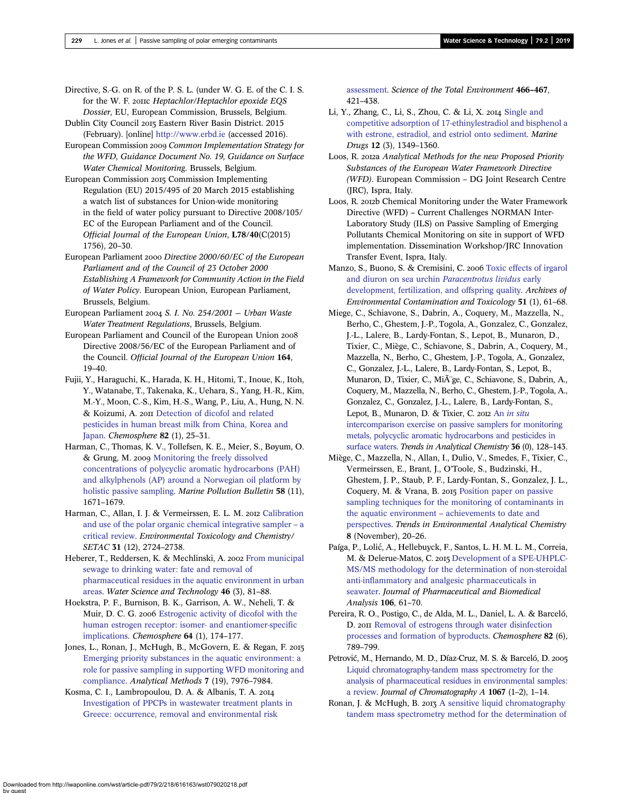<span id="page-11-0"></span>Directive, S.-G. on R. of the P. S. L. (under W. G. E. of the C. I. S. for the W. F. 2011C Heptachlor/Heptachlor epoxide EQS Dossier, EU, European Commission, Brussels, Belgium.

Dublin City Council 2015 Eastern River Basin District. 2015 (February). [online] <http://www.erbd.ie> (accessed 2016).

European Commission 2009 Common Implementation Strategy for the WFD, Guidance Document No. 19, Guidance on Surface Water Chemical Monitoring. Brussels, Belgium.

European Commission 2015 Commission Implementing Regulation (EU) 2015/495 of 20 March 2015 establishing a watch list of substances for Union-wide monitoring in the field of water policy pursuant to Directive 2008/105/ EC of the European Parliament and of the Council. Official Journal of the European Union, L78/40(C(2015) 1756), 20–30.

European Parliament 2000 Directive 2000/60/EC of the European Parliament and of the Council of 23 October 2000 Establishing A Framework for Community Action in the Field of Water Policy. European Union, European Parliament, Brussels, Belgium.

European Parliament 2004 S. I. No. 254/2001 - Urban Waste Water Treatment Regulations, Brussels, Belgium.

European Parliament and Council of the European Union Directive 2008/56/EC of the European Parliament and of the Council. Official Journal of the European Union 164, 19–40.

Fujii, Y., Haraguchi, K., Harada, K. H., Hitomi, T., Inoue, K., Itoh, Y., Watanabe, T., Takenaka, K., Uehara, S., Yang, H.-R., Kim, M.-Y., Moon, C.-S., Kim, H.-S., Wang, P., Liu, A., Hung, N. N. & Koizumi, A. 2011 [Detection of dicofol and related](http://dx.doi.org/10.1016/j.chemosphere.2010.10.036) [pesticides in human breast milk from China, Korea and](http://dx.doi.org/10.1016/j.chemosphere.2010.10.036) [Japan](http://dx.doi.org/10.1016/j.chemosphere.2010.10.036). Chemosphere 82 (1), 25–31.

Harman, C., Thomas, K. V., Tollefsen, K. E., Meier, S., Bøyum, O. & Grung, M. 2009 [Monitoring the freely dissolved](http://dx.doi.org/10.1016/j.marpolbul.2009.06.022) [concentrations of polycyclic aromatic hydrocarbons \(PAH\)](http://dx.doi.org/10.1016/j.marpolbul.2009.06.022) [and alkylphenols \(AP\) around a Norwegian oil platform by](http://dx.doi.org/10.1016/j.marpolbul.2009.06.022) [holistic passive sampling](http://dx.doi.org/10.1016/j.marpolbul.2009.06.022). Marine Pollution Bulletin 58 (11), 1671–1679.

Harman, C., Allan, I. J. & Vermeirssen, E. L. M. 2012 [Calibration](http://dx.doi.org/10.1002/etc.2011) [and use of the polar organic chemical integrative sampler](http://dx.doi.org/10.1002/etc.2011) – a [critical review](http://dx.doi.org/10.1002/etc.2011). Environmental Toxicology and Chemistry/ SETAC 31 (12), 2724–2738.

Heberer, T., Reddersen, K. & Mechlinski, A. 2002 [From municipal](http://dx.doi.org/10.2166/wst.2002.0060) [sewage to drinking water: fate and removal of](http://dx.doi.org/10.2166/wst.2002.0060) [pharmaceutical residues in the aquatic environment in urban](http://dx.doi.org/10.2166/wst.2002.0060) [areas.](http://dx.doi.org/10.2166/wst.2002.0060) Water Science and Technology 46 (3), 81–88.

Hoekstra, P. F., Burnison, B. K., Garrison, A. W., Neheli, T. & Muir, D. C. G. 2006 [Estrogenic activity of dicofol with the](http://dx.doi.org/10.1016/j.chemosphere.2005.10.043) [human estrogen receptor: isomer- and enantiomer-specific](http://dx.doi.org/10.1016/j.chemosphere.2005.10.043) [implications](http://dx.doi.org/10.1016/j.chemosphere.2005.10.043). Chemosphere 64 (1), 174–177.

Jones, L., Ronan, J., McHugh, B., McGovern, E. & Regan, F. 2015 [Emerging priority substances in the aquatic environment: a](http://dx.doi.org/10.1039/C5AY01059D) [role for passive sampling in supporting WFD monitoring and](http://dx.doi.org/10.1039/C5AY01059D) [compliance.](http://dx.doi.org/10.1039/C5AY01059D) Analytical Methods 7 (19), 7976–7984.

Kosma, C. I., Lambropoulou, D. A. & Albanis, T. A. [Investigation of PPCPs in wastewater treatment plants in](http://dx.doi.org/10.1016/j.scitotenv.2013.07.044) [Greece: occurrence, removal and environmental risk](http://dx.doi.org/10.1016/j.scitotenv.2013.07.044)

[assessment.](http://dx.doi.org/10.1016/j.scitotenv.2013.07.044) Science of the Total Environment 466–467, 421–438.

Li, Y., Zhang, C., Li, S., Zhou, C. & Li, X.  $2014$  [Single and](http://dx.doi.org/10.3390/md12031349) [competitive adsorption of 17-ethinylestradiol and bisphenol a](http://dx.doi.org/10.3390/md12031349) [with estrone, estradiol, and estriol onto sediment](http://dx.doi.org/10.3390/md12031349). Marine Drugs 12 (3), 1349–1360.

Loos, R. 2012a Analytical Methods for the new Proposed Priority Substances of the European Water Framework Directive (WFD). European Commission – DG Joint Research Centre (JRC), Ispra, Italy.

Loos, R. 2012b Chemical Monitoring under the Water Framework Directive (WFD) – Current Challenges NORMAN Inter-Laboratory Study (ILS) on Passive Sampling of Emerging Pollutants Chemical Monitoring on site in support of WFD implementation. Dissemination Workshop/JRC Innovation Transfer Event, Ispra, Italy.

Manzo, S., Buono, S. & Cremisini, C. 2006 [Toxic effects of irgarol](http://dx.doi.org/10.1007/s00244-004-0167-0) [and diuron on sea urchin](http://dx.doi.org/10.1007/s00244-004-0167-0) Paracentrotus lividus early [development, fertilization, and offspring quality.](http://dx.doi.org/10.1007/s00244-004-0167-0) Archives of Environmental Contamination and Toxicology 51 (1), 61–68.

Miege, C., Schiavone, S., Dabrin, A., Coquery, M., Mazzella, N., Berho, C., Ghestem, J.-P., Togola, A., Gonzalez, C., Gonzalez, J.-L., Lalere, B., Lardy-Fontan, S., Lepot, B., Munaron, D., Tixier, C., Miège, C., Schiavone, S., Dabrin, A., Coquery, M., Mazzella, N., Berho, C., Ghestem, J.-P., Togola, A., Gonzalez, C., Gonzalez, J.-L., Lalere, B., Lardy-Fontan, S., Lepot, B., Munaron, D., Tixier, C., MiÃ'ge, C., Schiavone, S., Dabrin, A., Coquery, M., Mazzella, N., Berho, C., Ghestem, J.-P., Togola, A., Gonzalez, C., Gonzalez, J.-L., Lalere, B., Lardy-Fontan, S., Lepot, B., Munaron, D. & Tixier, C. 2012 An [in situ](http://dx.doi.org/10.1016/j.trac.2012.01.009) [intercomparison exercise on passive samplers for monitoring](http://dx.doi.org/10.1016/j.trac.2012.01.009) [metals, polycyclic aromatic hydrocarbons and pesticides in](http://dx.doi.org/10.1016/j.trac.2012.01.009) [surface waters](http://dx.doi.org/10.1016/j.trac.2012.01.009). Trends in Analytical Chemistry 36 (0), 128–143.

Miège, C., Mazzella, N., Allan, I., Dulio, V., Smedes, F., Tixier, C., Vermeirssen, E., Brant, J., O'Toole, S., Budzinski, H., Ghestem, J. P., Staub, P. F., Lardy-Fontan, S., Gonzalez, J. L., Coquery, M. & Vrana, B. 2015 [Position paper on passive](http://dx.doi.org/10.1016/j.teac.2015.07.001) [sampling techniques for the monitoring of contaminants in](http://dx.doi.org/10.1016/j.teac.2015.07.001) the aquatic environment – [achievements to date and](http://dx.doi.org/10.1016/j.teac.2015.07.001) [perspectives.](http://dx.doi.org/10.1016/j.teac.2015.07.001) Trends in Environmental Analytical Chemistry 8 (November), 20–26.

Paíga, P., Lolić, A., Hellebuyck, F., Santos, L. H. M. L. M., Correia, M. & Delerue-Matos, C. 2015 [Development of a SPE-UHPLC-](http://dx.doi.org/10.1016/j.jpba.2014.06.017)[MS/MS methodology for the determination of non-steroidal](http://dx.doi.org/10.1016/j.jpba.2014.06.017) [anti-inflammatory and analgesic pharmaceuticals in](http://dx.doi.org/10.1016/j.jpba.2014.06.017) [seawater](http://dx.doi.org/10.1016/j.jpba.2014.06.017). Journal of Pharmaceutical and Biomedical Analysis 106, 61–70.

Pereira, R. O., Postigo, C., de Alda, M. L., Daniel, L. A. & Barceló, D. 2011 [Removal of estrogens through water disinfection](http://dx.doi.org/10.1016/j.chemosphere.2010.10.082) [processes and formation of byproducts.](http://dx.doi.org/10.1016/j.chemosphere.2010.10.082) Chemosphere 82 (6), 789–799.

Petrović, M., Hernando, M. D., Díaz-Cruz, M. S. & Barceló, D. 2005 [Liquid chromatography-tandem mass spectrometry for the](http://dx.doi.org/10.1016/j.chroma.2004.10.110) [analysis of pharmaceutical residues in environmental samples:](http://dx.doi.org/10.1016/j.chroma.2004.10.110) [a review.](http://dx.doi.org/10.1016/j.chroma.2004.10.110) Journal of Chromatography A 1067 (1–2), 1–14.

Ronan, J. & McHugh, B.  $2017$  [A sensitive liquid chromatography](http://dx.doi.org/10.1002/rcm.6505) [tandem mass spectrometry method for the determination of](http://dx.doi.org/10.1002/rcm.6505)